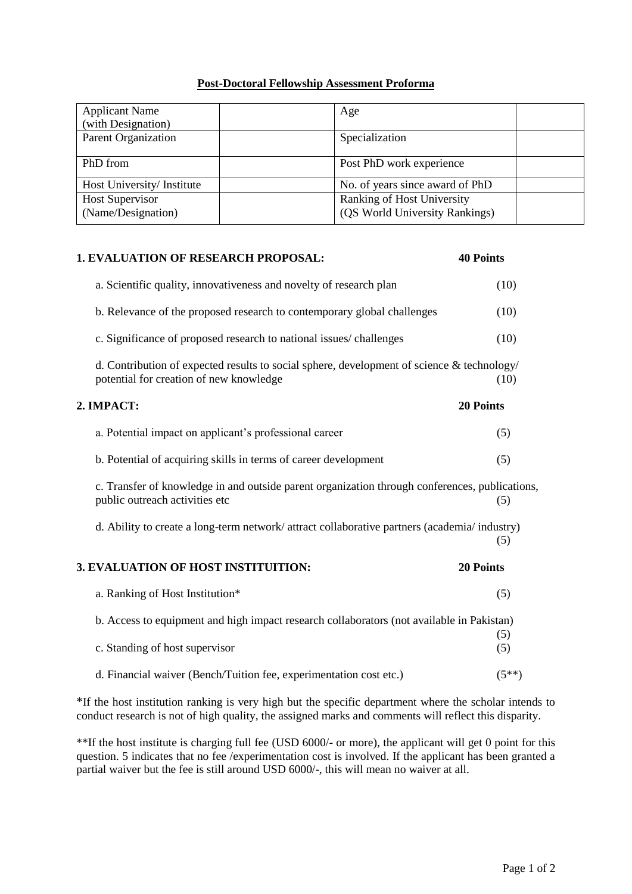## **Post-Doctoral Fellowship Assessment Proforma**

| <b>Applicant Name</b><br>(with Designation) | Age                                                          |
|---------------------------------------------|--------------------------------------------------------------|
| <b>Parent Organization</b>                  | Specialization                                               |
| PhD from                                    | Post PhD work experience                                     |
| Host University/Institute                   | No. of years since award of PhD                              |
| Host Supervisor<br>(Name/Designation)       | Ranking of Host University<br>(QS World University Rankings) |

| <b>1. EVALUATION OF RESEARCH PROPOSAL:</b>                                                                                            | <b>40 Points</b> |
|---------------------------------------------------------------------------------------------------------------------------------------|------------------|
| a. Scientific quality, innovativeness and novelty of research plan                                                                    | (10)             |
| b. Relevance of the proposed research to contemporary global challenges                                                               | (10)             |
| c. Significance of proposed research to national issues/challenges                                                                    | (10)             |
| d. Contribution of expected results to social sphere, development of science & technology/<br>potential for creation of new knowledge | (10)             |
| 2. IMPACT:                                                                                                                            | 20 Points        |
| a. Potential impact on applicant's professional career                                                                                | (5)              |
| b. Potential of acquiring skills in terms of career development                                                                       | (5)              |
| c. Transfer of knowledge in and outside parent organization through conferences, publications,<br>public outreach activities etc      | (5)              |
| d. Ability to create a long-term network/attract collaborative partners (academia/industry)                                           | (5)              |
| 3. EVALUATION OF HOST INSTITUITION:                                                                                                   | 20 Points        |
| a. Ranking of Host Institution*                                                                                                       | (5)              |
| b. Access to equipment and high impact research collaborators (not available in Pakistan)                                             |                  |
| c. Standing of host supervisor                                                                                                        | (5)<br>(5)       |
| d. Financial waiver (Bench/Tuition fee, experimentation cost etc.)                                                                    | $(5**)$          |

\*If the host institution ranking is very high but the specific department where the scholar intends to conduct research is not of high quality, the assigned marks and comments will reflect this disparity.

\*\*If the host institute is charging full fee (USD 6000/- or more), the applicant will get 0 point for this question. 5 indicates that no fee /experimentation cost is involved. If the applicant has been granted a partial waiver but the fee is still around USD 6000/-, this will mean no waiver at all.